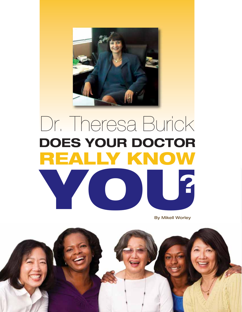

## Dr. Theresa Burick **DOES YOUR DOCTOR REALLY KNOW YOU?**

By Mikell Worley

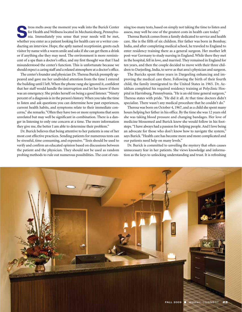**Solution International Wellness located in Mechanicsburg, Pennsylvania. Immediately you sense that your needs will be met,** for Health and Wellness located in Mechanicsburg, Pennsylvawhether you enter as a patient looking for health care or a writer conducting an interview. Hope, the aptly named receptionist, greets each visitor by name with a warm smile and asks if she can get them a drink or if anything else they may need. The environment is more reminiscent of a spa than a doctor's office, and my first thought was that I had misunderstood the center's function. This is unfortunate because we should expect a caring staff and a relaxed atmosphere at a doctor's office.

The center's founder and physician Dr. Theresa Burick promptly appeared and gave me her undivided attention from the time I entered the building until I left. When the phone rang she ignored it, confident that her staff would handle the interruption and let her know if there was an emergency. She prides herself on being a good listener. "Ninety percent of a diagnosis is in the person's history. When you take the time to listen and ask questions you can determine how past experiences, current health habits, and symptoms relate to their immediate concerns," she remarks. "Often they have two or more symptoms that seem unrelated but may well be significant in combination. There is a danger in listening to only one concern at a time. The more information they give me, the better I am able to determine their problem."

Dr. Burick believes that being attentive to her patients is one of her most cost effective practices. Sending patients for numerous tests can be stressful, time consuming, and expensive. "Tests should be used to verify and confirm an educated opinion based on discussions between the patient and the physician. They should not be used as random probing methods to rule out numerous possibilities. The cost of running too many tests, based on simply not taking the time to listen and assess, may well be one of the greatest costs in health care today."

Theresa Burick comes from a family dedicated to service and health care. She is the fifth of six children. Her father was born in Bombay, India, and after completing medical school, he traveled to England to enter residency training there as a general surgeon. Her mother left post-war Germany to study nursing in England. While there they met in the hospital, fell in love, and married. They remained in England for ten years, and then the couple decided to move with their three children to Darjeeling, India, to serve as that area's physician and surgeon.

The Buricks spent three years in Dargeeling enhancing and improving the medical care there. Following the birth of their fourth child, the family immigrated to the United States in 1965. Dr. Azizkhan completed his required residency training at Polyclinic Hospital in Harrisburg, Pennsylvania. "He is an old time general surgeon," Theresa states with pride. "He did it all. At that time doctors didn't specialize. There wasn't any medical procedure that he couldn't do."

Theresa was born on October 4, 1967, and as a child she spent many hours helping her father in his office. By the time she was 12 years old she was taking blood pressure and changing bandages. Her love of medicine blossomed and Burick knew she would follow in his footsteps. "I have always had a passion for helping people. And I love being an advocate for those who don't know how to navigate the system," says Burick. "Health care has become more and more complicated and our patients need help on many levels."

Dr. Burick is committed to unveiling the mystery that often causes unnecessary fear in her patients. She views knowledge and information as the keys to unlocking understanding and trust. It is refreshing